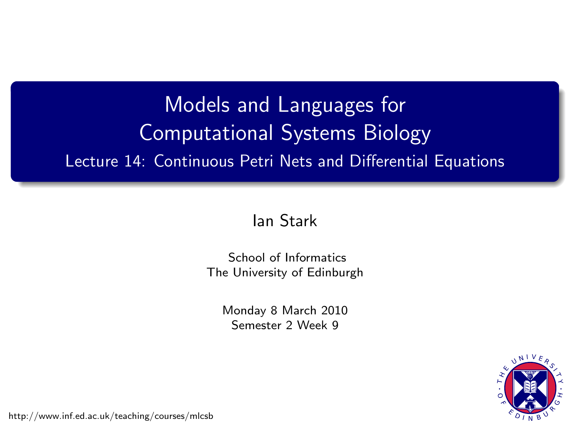# Models and Languages for Computational Systems Biology Lecture 14: Continuous Petri Nets and Differential Equations

#### [Ian Stark](http://homepages.ed.ac.uk/stark)

[School of Informatics](http://www.inf.ed.ac.uk) [The University of Edinburgh](http://www.ed.ac.uk)

> Monday 8 March 2010 Semester 2 Week 9



<span id="page-0-0"></span><http://www.inf.ed.ac.uk/teaching/courses/mlcsb>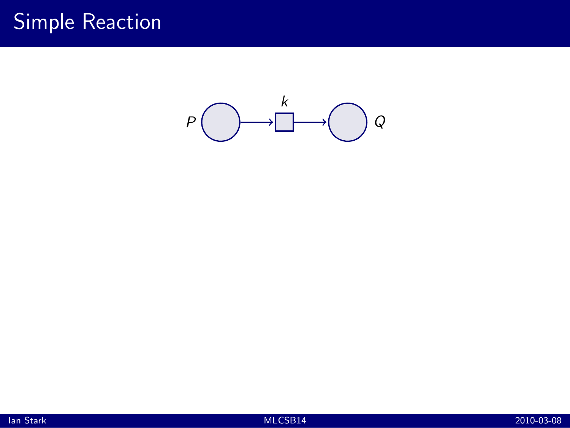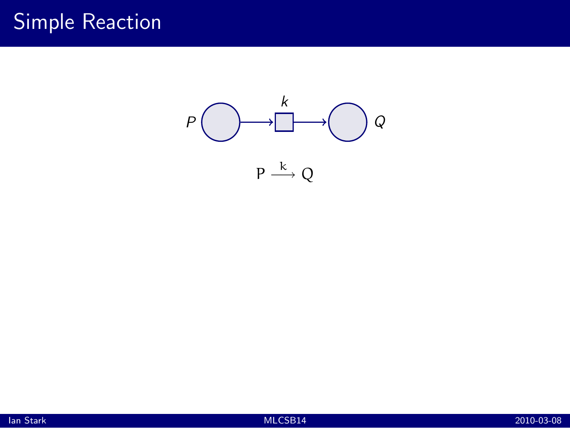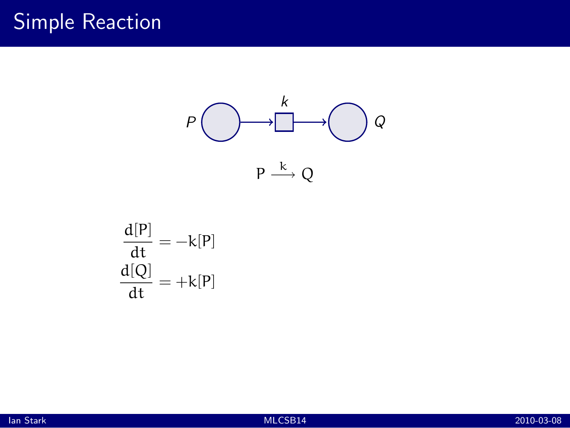

$$
\frac{d[P]}{dt} = -k[P]
$$

$$
\frac{d[Q]}{dt} = +k[P]
$$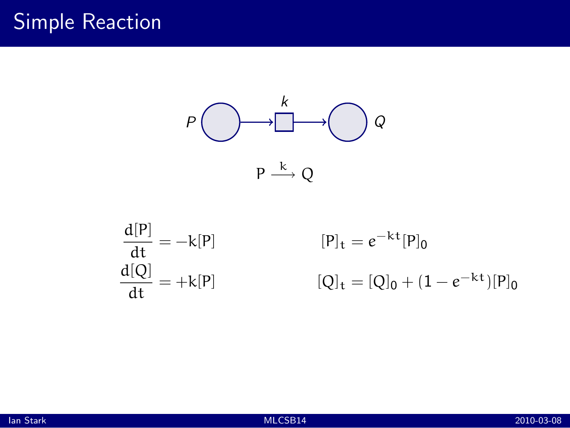

$$
\begin{aligned}\n\frac{d[P]}{dt} &= -k[P] & [P]_t &= e^{-kt}[P]_0\\
\frac{d[Q]}{dt} &= +k[P] & [Q]_t &= [Q]_0 + (1 - e^{-kt})[P]_0\n\end{aligned}
$$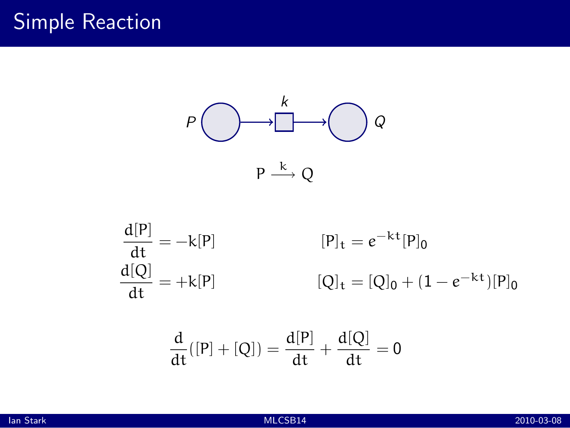

$$
\begin{aligned}\n\frac{d[P]}{dt} &= -k[P] & [P]_t &= e^{-kt}[P]_0\\
\frac{d[Q]}{dt} &= +k[P] & [Q]_t &= [Q]_0 + (1 - e^{-kt})[P]_0\n\end{aligned}
$$

$$
\frac{\mathrm{d}}{\mathrm{d}t}([P]+[Q]) = \frac{\mathrm{d}[P]}{\mathrm{d}t} + \frac{\mathrm{d}[Q]}{\mathrm{d}t} = 0
$$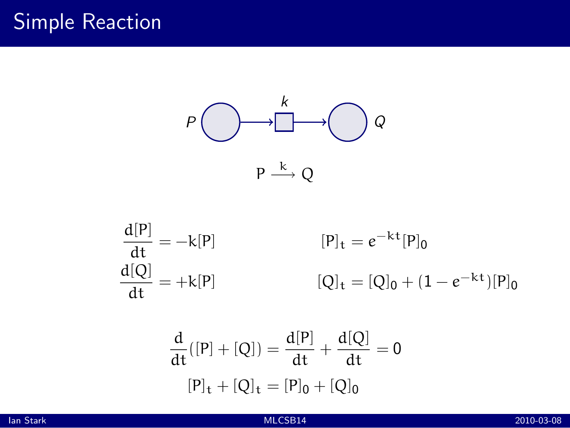

$$
\begin{aligned}\n\frac{d[P]}{dt} &= -k[P] & [P]_t &= e^{-kt}[P]_0\\
\frac{d[Q]}{dt} &= +k[P] & [Q]_t &= [Q]_0 + (1 - e^{-kt})[P]_0\n\end{aligned}
$$

$$
\frac{d}{dt}([P] + [Q]) = \frac{d[P]}{dt} + \frac{d[Q]}{dt} = 0
$$

$$
[P]_t + [Q]_t = [P]_0 + [Q]_0
$$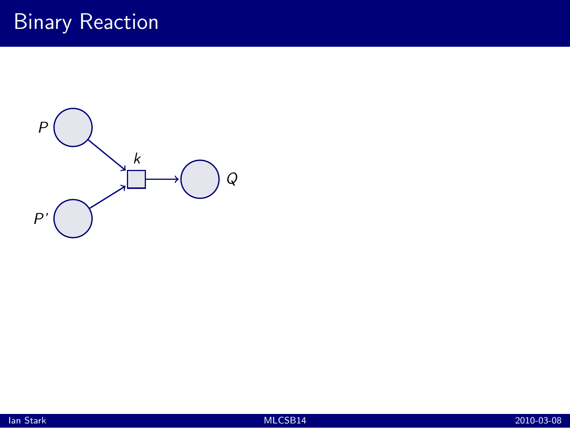# Binary Reaction



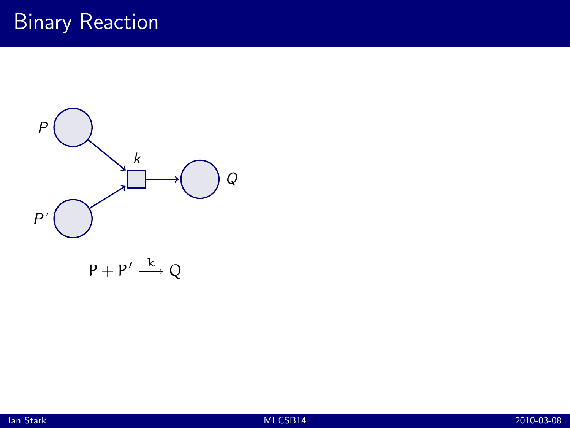## Binary Reaction

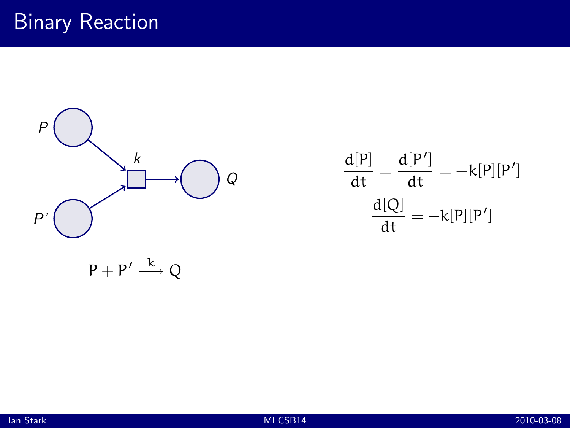

$$
\frac{d[P]}{dt} = \frac{d[P']}{dt} = -k[P][P']
$$

$$
\frac{d[Q]}{dt} = +k[P][P']
$$

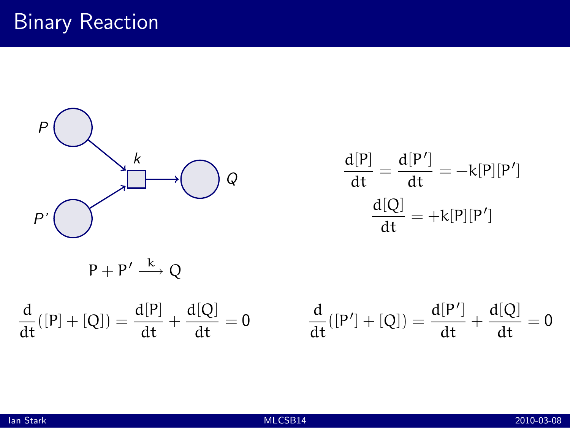

$$
\frac{d[P]}{dt} = \frac{d[P']}{dt} = -k[P][P']
$$

$$
\frac{d[Q]}{dt} = +k[P][P']
$$

$$
P+P'\stackrel{k}{\longrightarrow}Q
$$

$$
\frac{d}{dt}([P]+[Q]) = \frac{d[P]}{dt} + \frac{d[Q]}{dt} = 0
$$

$$
\frac{d}{dt}([P']+[Q])=\frac{d[P']}{dt}+\frac{d[Q]}{dt}=0
$$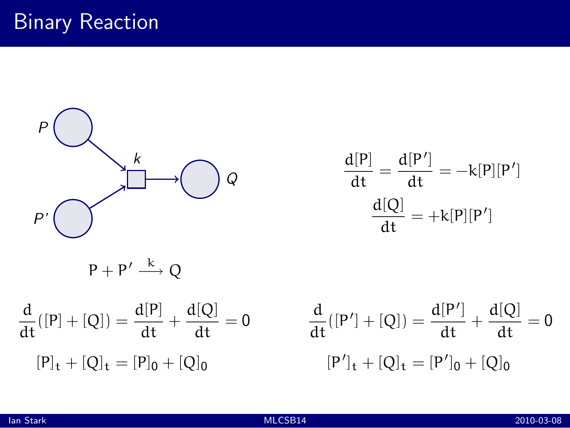

$$
\frac{d[P]}{dt} = \frac{d[P']}{dt} = -k[P][P']
$$

$$
\frac{d[Q]}{dt} = +k[P][P']
$$

$$
\frac{d}{dt}([P] + [Q]) = \frac{d[P]}{dt} + \frac{d[Q]}{dt} = 0 \qquad \frac{d}{dt}([P]_{t} + [Q]_{t} = [P]_{0} + [Q]_{0} \qquad [P']_{t}
$$

$$
\frac{d}{dt}([P'] + [Q]) = \frac{d[P']}{dt} + \frac{d[Q]}{dt} = 0
$$

$$
[P']_t + [Q]_t = [P']_0 + [Q]_0
$$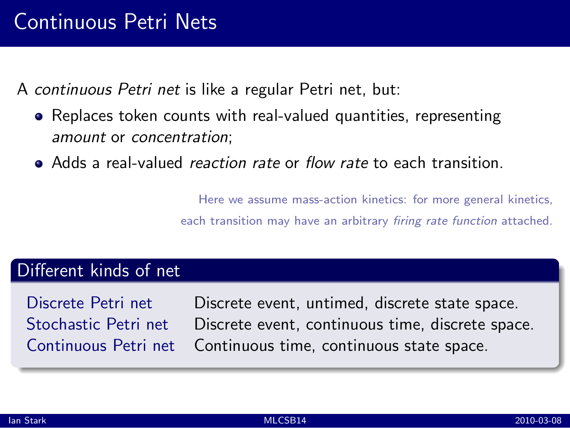A *continuous Petri net* is like a regular Petri net, but:

- Replaces token counts with real-valued quantities, representing *amount* or *concentration*;
- Adds a real-valued *reaction rate* or *flow rate* to each transition.

Here we assume mass-action kinetics: for more general kinetics, each transition may have an arbitrary *firing rate function* attached.

#### Different kinds of net

Discrete Petri net Discrete event, untimed, discrete state space. Stochastic Petri net Discrete event, continuous time, discrete space. Continuous Petri net Continuous time, continuous state space.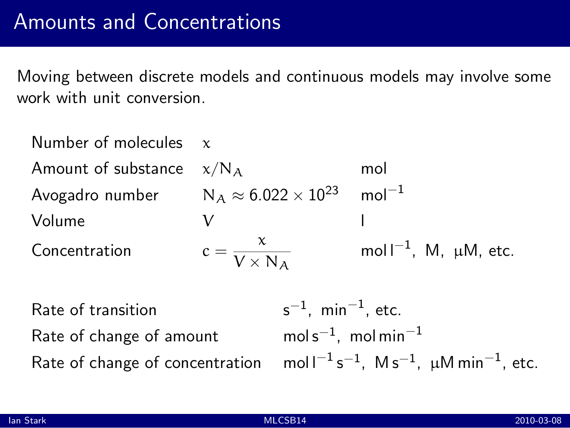Moving between discrete models and continuous models may involve some work with unit conversion.

| Number of molecules $x$                            |                              |                                                                                     |                                 |  |
|----------------------------------------------------|------------------------------|-------------------------------------------------------------------------------------|---------------------------------|--|
| Amount of substance                                | $\chi/N_A$                   |                                                                                     | mol                             |  |
| Avogadro number $N_A \approx 6.022 \times 10^{23}$ |                              |                                                                                     | $mol-1$                         |  |
| Volume                                             | V                            |                                                                                     |                                 |  |
| Concentration                                      | $c = \frac{x}{V \times N_A}$ |                                                                                     | mol $I^{-1}$ , M, $\mu$ M, etc. |  |
| Rate of transition                                 |                              | $s^{-1}$ , min <sup>-1</sup> , etc.                                                 |                                 |  |
| Rate of change of amount                           |                              | $\text{mol s}^{-1}$ , mol min $^{-1}$                                               |                                 |  |
| Rate of change of concentration                    |                              | mol $I^{-1}$ s <sup>-1</sup> , M s <sup>-1</sup> , $\mu$ M min <sup>-1</sup> , etc. |                                 |  |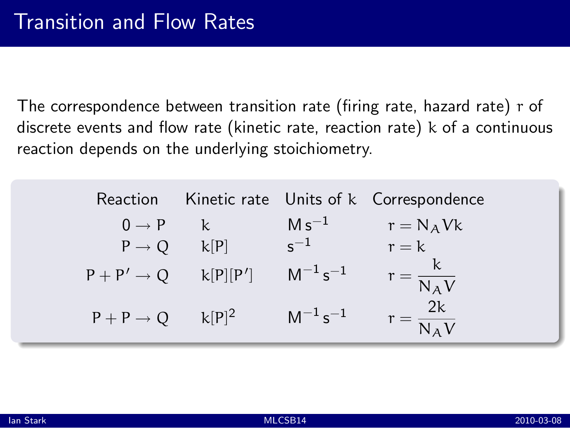The correspondence between transition rate (firing rate, hazard rate) r of discrete events and flow rate (kinetic rate, reaction rate) k of a continuous reaction depends on the underlying stoichiometry.

|                                 |              |                                    | Reaction Kinetic rate Units of k Correspondence |
|---------------------------------|--------------|------------------------------------|-------------------------------------------------|
| $0 \rightarrow P$               | $\mathbf{k}$ | $M s^{-1}$                         | $r = N_A Vk$                                    |
| $P \rightarrow Q$ $k[P]$        |              | $s^{-1}$                           | $r = k$                                         |
| $P + P' \rightarrow Q$ k[P][P'] |              | $\mathsf{M}^{-1}\,\mathsf{s}^{-1}$ | $r = \frac{k}{N_A V}$                           |
| $P + P \rightarrow Q$ $k[P]^2$  |              | $M^{-1} s^{-1}$                    | $r = \frac{2k}{N_A V}$                          |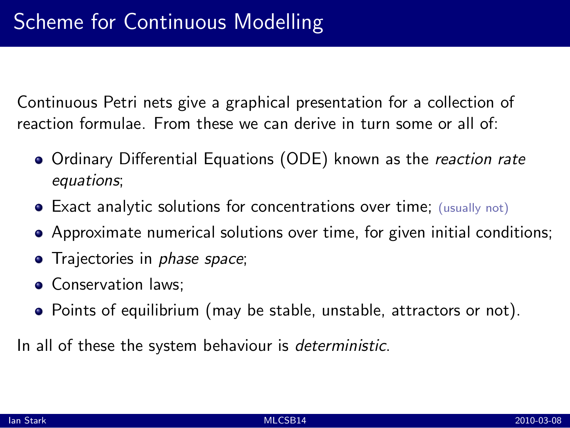Continuous Petri nets give a graphical presentation for a collection of reaction formulae. From these we can derive in turn some or all of:

- Ordinary Differential Equations (ODE) known as the *reaction rate equations*;
- Exact analytic solutions for concentrations over time; (usually not)
- Approximate numerical solutions over time, for given initial conditions;
- Trajectories in *phase space*;
- Conservation laws:
- Points of equilibrium (may be stable, unstable, attractors or not).

In all of these the system behaviour is *deterministic*.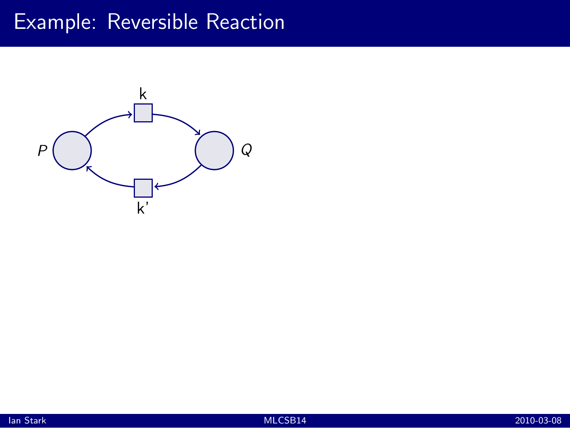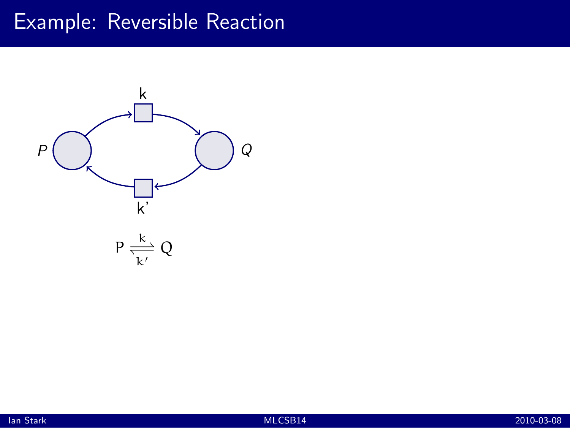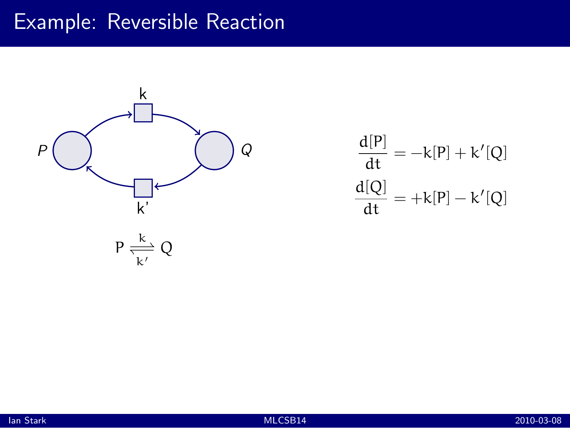

$$
\frac{d[P]}{dt} = -k[P] + k'[Q]
$$

$$
\frac{d[Q]}{dt} = +k[P] - k'[Q]
$$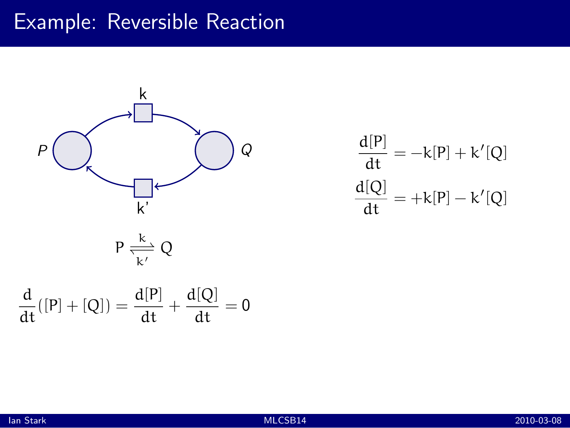

$$
\frac{d[P]}{dt} = -k[P] + k'[Q]
$$

$$
\frac{d[Q]}{dt} = +k[P] - k'[Q]
$$

$$
P \xrightarrow[k]{k} Q
$$

$$
\frac{d}{dt}([P]+[Q]) = \frac{d[P]}{dt} + \frac{d[Q]}{dt} = 0
$$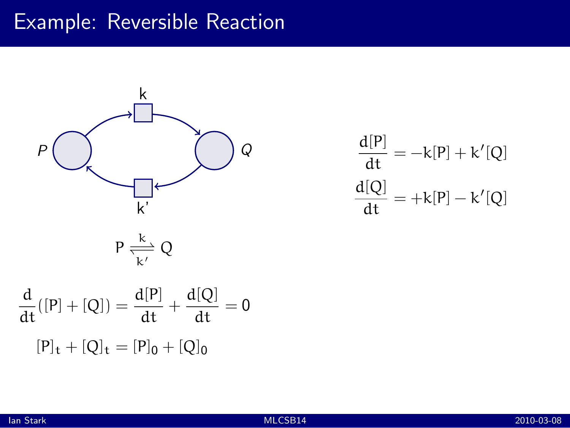

$$
\frac{d[P]}{dt} = -k[P] + k'[Q]
$$

$$
\frac{d[Q]}{dt} = +k[P] - k'[Q]
$$

$$
P \xrightarrow[k]{k}{\frac{k}{k'}} Q
$$

$$
\frac{d}{dt}([P] + [Q]) = \frac{d[P]}{dt} + \frac{d[Q]}{dt} = 0
$$

$$
[P]_t + [Q]_t = [P]_0 + [Q]_0
$$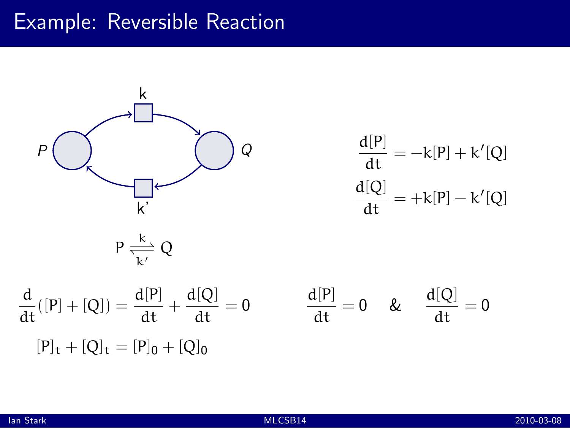

$$
\frac{d[P]}{dt} = -k[P] + k'[Q]
$$

$$
\frac{d[Q]}{dt} = +k[P] - k'[Q]
$$

$$
P \xrightarrow[k']{k'} Q
$$

d  $\frac{d}{dt}([P] + [Q]) = \frac{d[P]}{dt}$  $\frac{d[P]}{dt} + \frac{d[Q]}{dt}$  $\frac{d\mathbf{q}}{dt} = 0$  $[P]_t + [Q]_t = [P]_0 + [Q]_0$ 

$$
\frac{d[P]}{dt} = 0 \quad \& \quad \frac{d[Q]}{dt} = 0
$$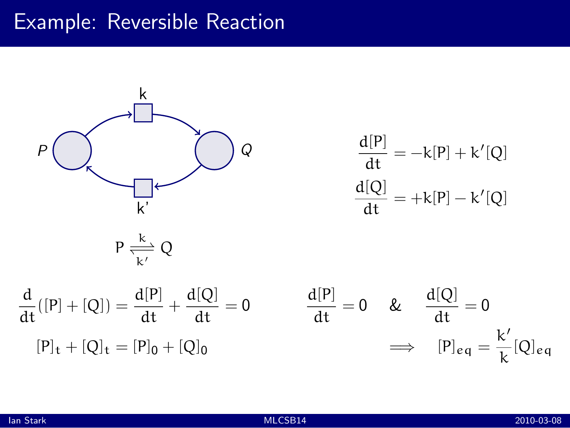

$$
\frac{d[P]}{dt} = -k[P] + k'[Q]
$$

$$
\frac{d[Q]}{dt} = +k[P] - k'[Q]
$$

$$
P \frac{k}{\overline{k'}} Q
$$
  

$$
\frac{d}{dt}([P] + [Q]) = \frac{d[P]}{dt} + \frac{d[Q]}{dt} = 0
$$

$$
\frac{d[P]}{dt} = 0
$$

$$
\frac{d[P]}{dt} = 0
$$

$$
\implies \frac{d[Q]}{dt} = 0
$$

$$
\implies [P]_{eq} = \frac{k'}{k} [Q]_{eq}
$$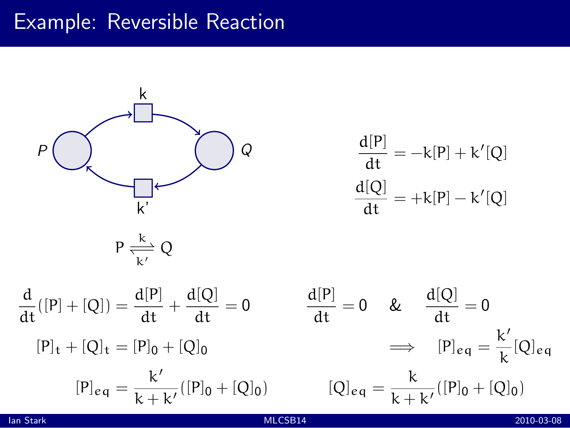

$$
\frac{d[P]}{dt} = -k[P] + k'[Q]
$$

$$
\frac{d[Q]}{dt} = +k[P] - k'[Q]
$$

$$
P \xrightarrow[k']{k'} Q
$$

$$
\frac{d}{dt}([P] + [Q]) = \frac{d[P]}{dt} + \frac{d[Q]}{dt} = 0 \qquad \frac{d[P]}{dt} = 0 \qquad \& \frac{d[Q]}{dt} = 0
$$
  

$$
[P]_t + [Q]_t = [P]_0 + [Q]_0 \qquad \Longrightarrow \qquad [P]_{eq} = \frac{k'}{k + k'}([P]_0 + [Q]_0) \qquad [Q]_{eq} = \frac{k}{k + k'}([P]_0 +
$$

$$
\frac{d[P]}{dt} = 0 \quad \& \quad \frac{d[Q]}{dt} = 0
$$

$$
\implies [P]_{eq} = \frac{k'}{k} [Q]_{eq}
$$

$$
[Q]_{eq} = \frac{k}{k + k'} ([P]_0 + [Q]_0)
$$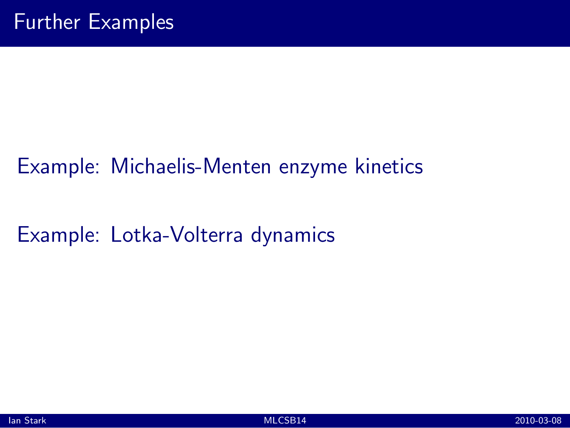## Example: Michaelis-Menten enzyme kinetics

Example: Lotka-Volterra dynamics

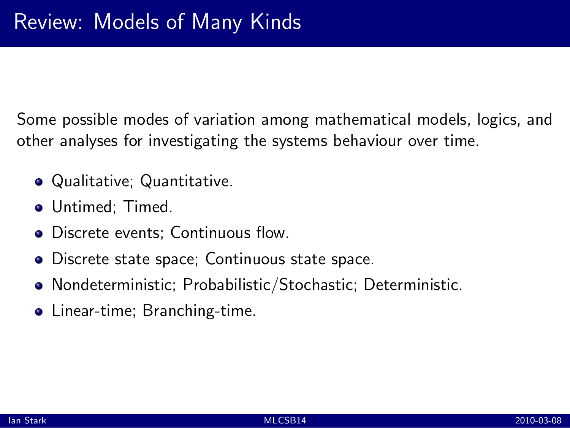Some possible modes of variation among mathematical models, logics, and other analyses for investigating the systems behaviour over time.

- Qualitative; Quantitative.
- Untimed: Timed.
- Discrete events; Continuous flow.
- Discrete state space; Continuous state space.
- Nondeterministic; Probabilistic/Stochastic; Deterministic.
- Linear-time; Branching-time.